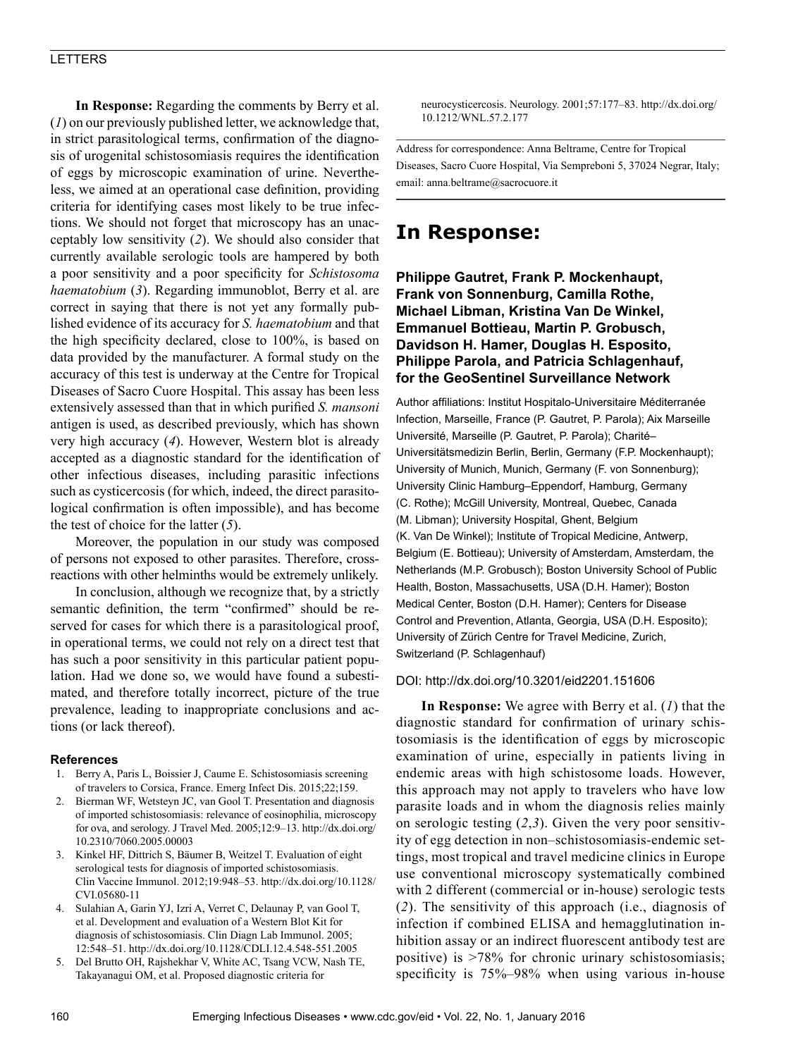### LETTERS

**In Response:** Regarding the comments by Berry et al. (*1*) on our previously published letter, we acknowledge that, in strict parasitological terms, confirmation of the diagnosis of urogenital schistosomiasis requires the identification of eggs by microscopic examination of urine. Nevertheless, we aimed at an operational case definition, providing criteria for identifying cases most likely to be true infections. We should not forget that microscopy has an unacceptably low sensitivity (*2*). We should also consider that currently available serologic tools are hampered by both a poor sensitivity and a poor specificity for *Schistosoma haematobium* (*3*). Regarding immunoblot, Berry et al. are correct in saying that there is not yet any formally published evidence of its accuracy for *S. haematobium* and that the high specificity declared, close to 100%, is based on data provided by the manufacturer. A formal study on the accuracy of this test is underway at the Centre for Tropical Diseases of Sacro Cuore Hospital. This assay has been less extensively assessed than that in which purified *S. mansoni* antigen is used, as described previously, which has shown very high accuracy (*4*). However, Western blot is already accepted as a diagnostic standard for the identification of other infectious diseases, including parasitic infections such as cysticercosis (for which, indeed, the direct parasitological confirmation is often impossible), and has become the test of choice for the latter (*5*).

Moreover, the population in our study was composed of persons not exposed to other parasites. Therefore, crossreactions with other helminths would be extremely unlikely.

In conclusion, although we recognize that, by a strictly semantic definition, the term "confirmed" should be reserved for cases for which there is a parasitological proof, in operational terms, we could not rely on a direct test that has such a poor sensitivity in this particular patient population. Had we done so, we would have found a subestimated, and therefore totally incorrect, picture of the true prevalence, leading to inappropriate conclusions and actions (or lack thereof).

#### **References**

- 1. Berry A, Paris L, Boissier J, Caume E. Schistosomiasis screening of travelers to Corsica, France. Emerg Infect Dis. 2015;22;159.
- 2. Bierman WF, Wetsteyn JC, van Gool T. Presentation and diagnosis of imported schistosomiasis: relevance of eosinophilia, microscopy for ova, and serology. J Travel Med. 2005;12:9–13. http://dx.doi.org/ 10.2310/7060.2005.00003
- 3. Kinkel HF, Dittrich S, Bäumer B, Weitzel T. Evaluation of eight serological tests for diagnosis of imported schistosomiasis. Clin Vaccine Immunol. 2012;19:948–53. http://dx.doi.org/10.1128/ CVI.05680-11
- 4. Sulahian A, Garin YJ, Izri A, Verret C, Delaunay P, van Gool T, et al. Development and evaluation of a Western Blot Kit for diagnosis of schistosomiasis. Clin Diagn Lab Immunol. 2005; 12:548–51. http://dx.doi.org/10.1128/CDLI.12.4.548-551.2005
- 5. Del Brutto OH, Rajshekhar V, White AC, Tsang VCW, Nash TE, Takayanagui OM, et al. Proposed diagnostic criteria for

neurocysticercosis. Neurology. 2001;57:177–83. http://dx.doi.org/ 10.1212/WNL.57.2.177

Address for correspondence: Anna Beltrame, Centre for Tropical Diseases, Sacro Cuore Hospital, Via Sempreboni 5, 37024 Negrar, Italy; email: anna.beltrame@sacrocuore.it

### **In Response:**

**Philippe Gautret, Frank P. Mockenhaupt, Frank von Sonnenburg, Camilla Rothe, Michael Libman, Kristina Van De Winkel, Emmanuel Bottieau, Martin P. Grobusch, Davidson H. Hamer, Douglas H. Esposito, Philippe Parola, and Patricia Schlagenhauf, for the GeoSentinel Surveillance Network**

Author affiliations: Institut Hospitalo-Universitaire Méditerranée Infection, Marseille, France (P. Gautret, P. Parola); Aix Marseille Université, Marseille (P. Gautret, P. Parola); Charité– Universitätsmedizin Berlin, Berlin, Germany (F.P. Mockenhaupt); University of Munich, Munich, Germany (F. von Sonnenburg); University Clinic Hamburg–Eppendorf, Hamburg, Germany (C. Rothe); McGill University, Montreal, Quebec, Canada (M. Libman); University Hospital, Ghent, Belgium (K. Van De Winkel); Institute of Tropical Medicine, Antwerp, Belgium (E. Bottieau); University of Amsterdam, Amsterdam, the Netherlands (M.P. Grobusch); Boston University School of Public Health, Boston, Massachusetts, USA (D.H. Hamer); Boston Medical Center, Boston (D.H. Hamer); Centers for Disease Control and Prevention, Atlanta, Georgia, USA (D.H. Esposito); University of Zürich Centre for Travel Medicine, Zurich, Switzerland (P. Schlagenhauf)

#### DOI: http://dx.doi.org/10.3201/eid2201.151606

**In Response:** We agree with Berry et al. (*1*) that the diagnostic standard for confirmation of urinary schistosomiasis is the identification of eggs by microscopic examination of urine, especially in patients living in endemic areas with high schistosome loads. However, this approach may not apply to travelers who have low parasite loads and in whom the diagnosis relies mainly on serologic testing (*2*,*3*). Given the very poor sensitivity of egg detection in non–schistosomiasis-endemic settings, most tropical and travel medicine clinics in Europe use conventional microscopy systematically combined with 2 different (commercial or in-house) serologic tests (*2*). The sensitivity of this approach (i.e., diagnosis of infection if combined ELISA and hemagglutination inhibition assay or an indirect fluorescent antibody test are positive) is >78% for chronic urinary schistosomiasis; specificity is 75%–98% when using various in-house